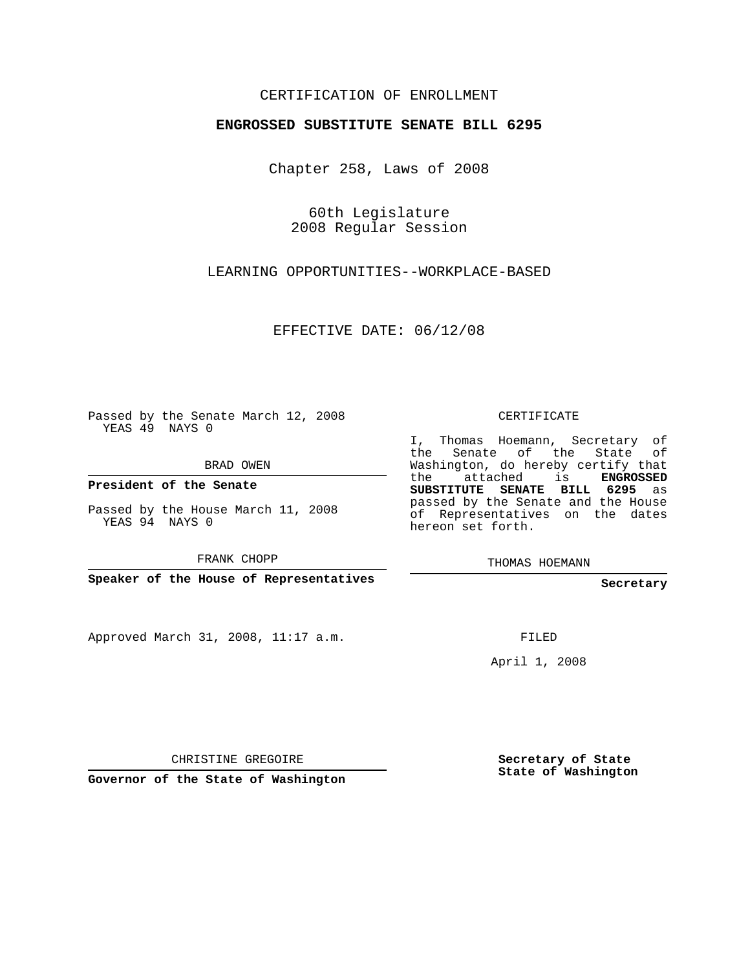## CERTIFICATION OF ENROLLMENT

#### **ENGROSSED SUBSTITUTE SENATE BILL 6295**

Chapter 258, Laws of 2008

60th Legislature 2008 Regular Session

LEARNING OPPORTUNITIES--WORKPLACE-BASED

EFFECTIVE DATE: 06/12/08

Passed by the Senate March 12, 2008 YEAS 49 NAYS 0

BRAD OWEN

**President of the Senate**

Passed by the House March 11, 2008 YEAS 94 NAYS 0

FRANK CHOPP

**Speaker of the House of Representatives**

Approved March 31, 2008, 11:17 a.m.

CERTIFICATE

I, Thomas Hoemann, Secretary of the Senate of the State of Washington, do hereby certify that the attached is **ENGROSSED SUBSTITUTE SENATE BILL 6295** as passed by the Senate and the House of Representatives on the dates hereon set forth.

THOMAS HOEMANN

**Secretary**

FILED

April 1, 2008

CHRISTINE GREGOIRE

**Governor of the State of Washington**

**Secretary of State State of Washington**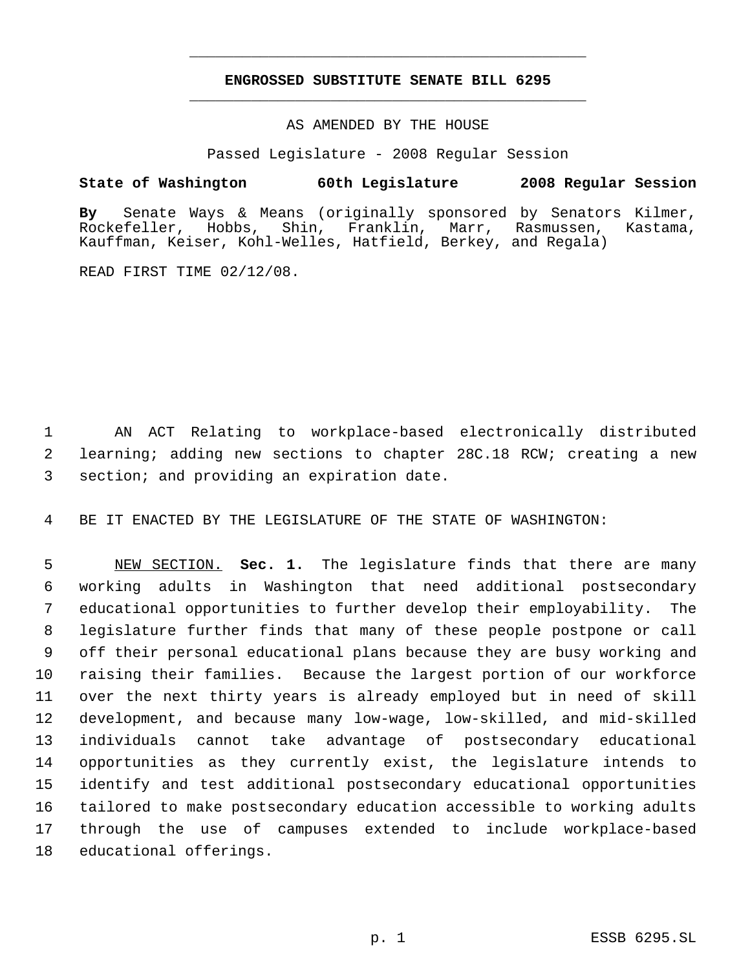# **ENGROSSED SUBSTITUTE SENATE BILL 6295** \_\_\_\_\_\_\_\_\_\_\_\_\_\_\_\_\_\_\_\_\_\_\_\_\_\_\_\_\_\_\_\_\_\_\_\_\_\_\_\_\_\_\_\_\_

\_\_\_\_\_\_\_\_\_\_\_\_\_\_\_\_\_\_\_\_\_\_\_\_\_\_\_\_\_\_\_\_\_\_\_\_\_\_\_\_\_\_\_\_\_

### AS AMENDED BY THE HOUSE

Passed Legislature - 2008 Regular Session

### **State of Washington 60th Legislature 2008 Regular Session**

**By** Senate Ways & Means (originally sponsored by Senators Kilmer, Shin, Franklin, Marr, Rasmussen, Kastama, Kauffman, Keiser, Kohl-Welles, Hatfield, Berkey, and Regala)

READ FIRST TIME 02/12/08.

 AN ACT Relating to workplace-based electronically distributed learning; adding new sections to chapter 28C.18 RCW; creating a new section; and providing an expiration date.

BE IT ENACTED BY THE LEGISLATURE OF THE STATE OF WASHINGTON:

 NEW SECTION. **Sec. 1.** The legislature finds that there are many working adults in Washington that need additional postsecondary educational opportunities to further develop their employability. The legislature further finds that many of these people postpone or call off their personal educational plans because they are busy working and raising their families. Because the largest portion of our workforce over the next thirty years is already employed but in need of skill development, and because many low-wage, low-skilled, and mid-skilled individuals cannot take advantage of postsecondary educational opportunities as they currently exist, the legislature intends to identify and test additional postsecondary educational opportunities tailored to make postsecondary education accessible to working adults through the use of campuses extended to include workplace-based educational offerings.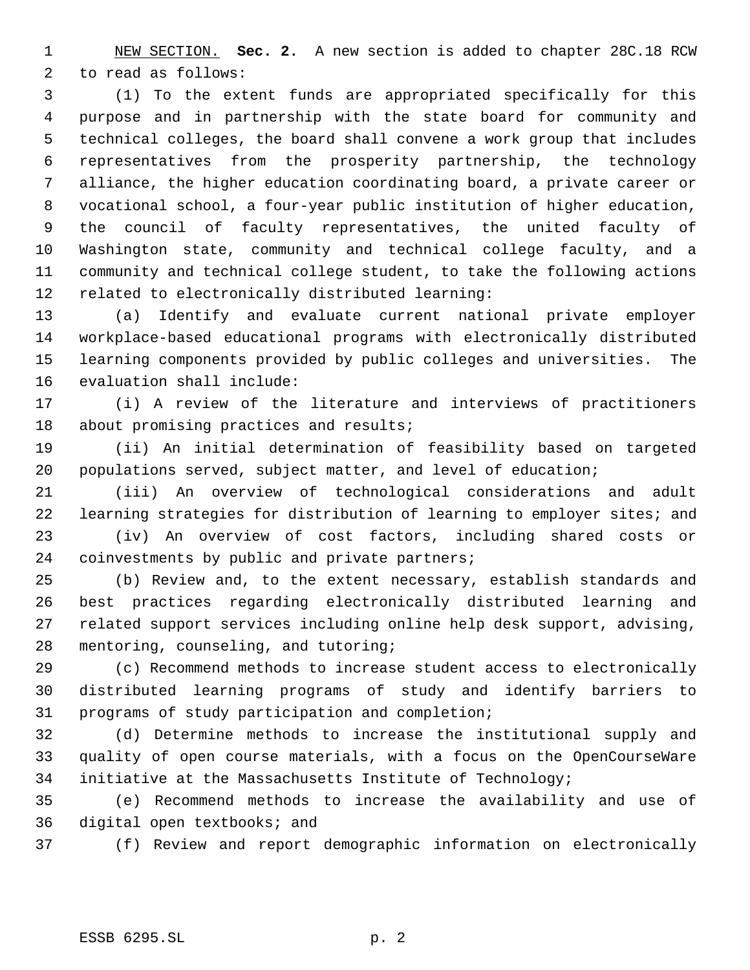NEW SECTION. **Sec. 2.** A new section is added to chapter 28C.18 RCW to read as follows:

 (1) To the extent funds are appropriated specifically for this purpose and in partnership with the state board for community and technical colleges, the board shall convene a work group that includes representatives from the prosperity partnership, the technology alliance, the higher education coordinating board, a private career or vocational school, a four-year public institution of higher education, the council of faculty representatives, the united faculty of Washington state, community and technical college faculty, and a community and technical college student, to take the following actions related to electronically distributed learning:

 (a) Identify and evaluate current national private employer workplace-based educational programs with electronically distributed learning components provided by public colleges and universities. The evaluation shall include:

 (i) A review of the literature and interviews of practitioners 18 about promising practices and results;

 (ii) An initial determination of feasibility based on targeted populations served, subject matter, and level of education;

 (iii) An overview of technological considerations and adult learning strategies for distribution of learning to employer sites; and

 (iv) An overview of cost factors, including shared costs or coinvestments by public and private partners;

 (b) Review and, to the extent necessary, establish standards and best practices regarding electronically distributed learning and related support services including online help desk support, advising, mentoring, counseling, and tutoring;

 (c) Recommend methods to increase student access to electronically distributed learning programs of study and identify barriers to programs of study participation and completion;

 (d) Determine methods to increase the institutional supply and quality of open course materials, with a focus on the OpenCourseWare initiative at the Massachusetts Institute of Technology;

 (e) Recommend methods to increase the availability and use of digital open textbooks; and

(f) Review and report demographic information on electronically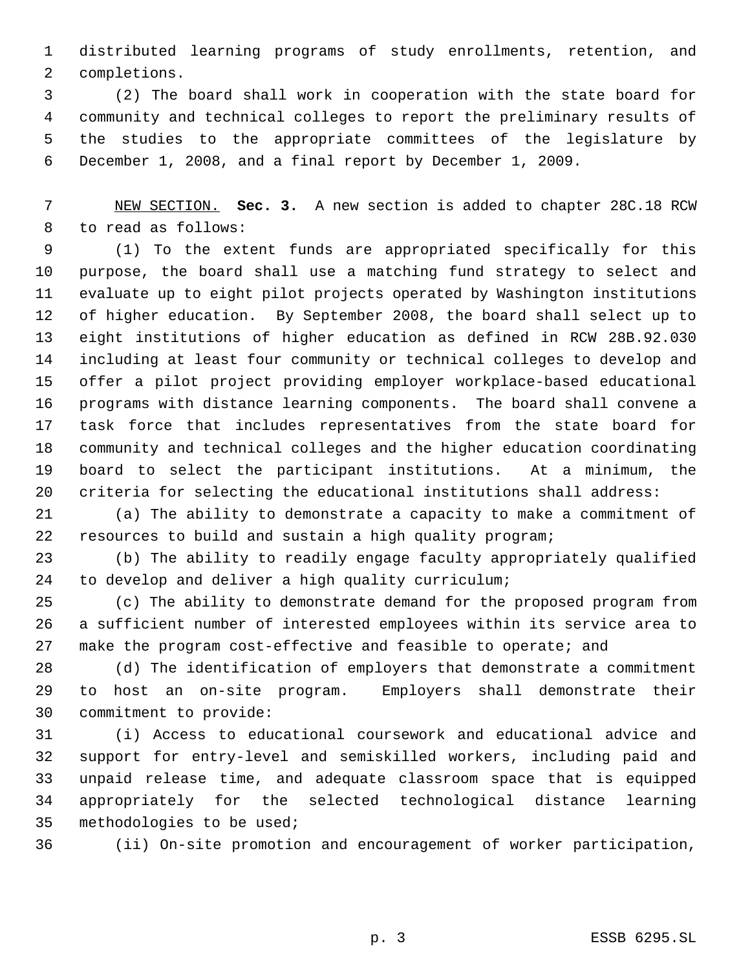distributed learning programs of study enrollments, retention, and completions.

 (2) The board shall work in cooperation with the state board for community and technical colleges to report the preliminary results of the studies to the appropriate committees of the legislature by December 1, 2008, and a final report by December 1, 2009.

 NEW SECTION. **Sec. 3.** A new section is added to chapter 28C.18 RCW to read as follows:

 (1) To the extent funds are appropriated specifically for this purpose, the board shall use a matching fund strategy to select and evaluate up to eight pilot projects operated by Washington institutions of higher education. By September 2008, the board shall select up to eight institutions of higher education as defined in RCW 28B.92.030 including at least four community or technical colleges to develop and offer a pilot project providing employer workplace-based educational programs with distance learning components. The board shall convene a task force that includes representatives from the state board for community and technical colleges and the higher education coordinating board to select the participant institutions. At a minimum, the criteria for selecting the educational institutions shall address:

 (a) The ability to demonstrate a capacity to make a commitment of resources to build and sustain a high quality program;

 (b) The ability to readily engage faculty appropriately qualified to develop and deliver a high quality curriculum;

 (c) The ability to demonstrate demand for the proposed program from a sufficient number of interested employees within its service area to make the program cost-effective and feasible to operate; and

 (d) The identification of employers that demonstrate a commitment to host an on-site program. Employers shall demonstrate their commitment to provide:

 (i) Access to educational coursework and educational advice and support for entry-level and semiskilled workers, including paid and unpaid release time, and adequate classroom space that is equipped appropriately for the selected technological distance learning methodologies to be used;

(ii) On-site promotion and encouragement of worker participation,